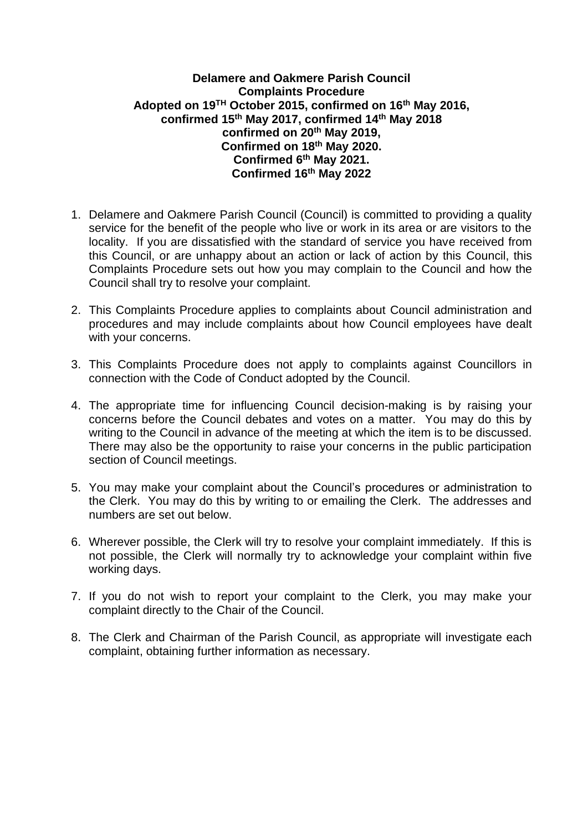## **Delamere and Oakmere Parish Council Complaints Procedure Adopted on 19TH October 2015, confirmed on 16th May 2016, confirmed 15th May 2017, confirmed 14th May 2018 confirmed on 20th May 2019, Confirmed on 18th May 2020. Confirmed 6th May 2021. Confirmed 16th May 2022**

- 1. Delamere and Oakmere Parish Council (Council) is committed to providing a quality service for the benefit of the people who live or work in its area or are visitors to the locality. If you are dissatisfied with the standard of service you have received from this Council, or are unhappy about an action or lack of action by this Council, this Complaints Procedure sets out how you may complain to the Council and how the Council shall try to resolve your complaint.
- 2. This Complaints Procedure applies to complaints about Council administration and procedures and may include complaints about how Council employees have dealt with your concerns.
- 3. This Complaints Procedure does not apply to complaints against Councillors in connection with the Code of Conduct adopted by the Council.
- 4. The appropriate time for influencing Council decision-making is by raising your concerns before the Council debates and votes on a matter. You may do this by writing to the Council in advance of the meeting at which the item is to be discussed. There may also be the opportunity to raise your concerns in the public participation section of Council meetings.
- 5. You may make your complaint about the Council's procedures or administration to the Clerk. You may do this by writing to or emailing the Clerk. The addresses and numbers are set out below.
- 6. Wherever possible, the Clerk will try to resolve your complaint immediately. If this is not possible, the Clerk will normally try to acknowledge your complaint within five working days.
- 7. If you do not wish to report your complaint to the Clerk, you may make your complaint directly to the Chair of the Council.
- 8. The Clerk and Chairman of the Parish Council, as appropriate will investigate each complaint, obtaining further information as necessary.